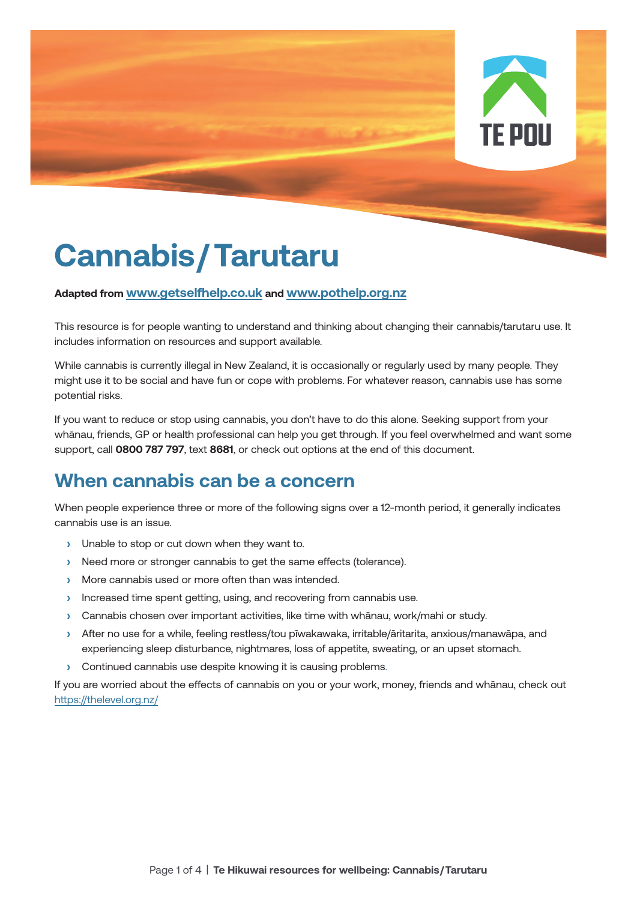

# **Cannabis/ Tarutaru**

#### **Adapted from www.getselfhelp.co.uk and www.pothelp.org.nz**

This resource is for people wanting to understand and thinking about changing their cannabis/tarutaru use. It includes information on resources and support available.

While cannabis is currently illegal in New Zealand, it is occasionally or regularly used by many people. They might use it to be social and have fun or cope with problems. For whatever reason, cannabis use has some potential risks.

If you want to reduce or stop using cannabis, you don't have to do this alone. Seeking support from your whānau, friends, GP or health professional can help you get through. If you feel overwhelmed and want some support, call **0800 787 797**, text **8681**, or check out options at the end of this document.

## **When cannabis can be a concern**

When people experience three or more of the following signs over a 12-month period, it generally indicates cannabis use is an issue.

- **›** Unable to stop or cut down when they want to.
- **›** Need more or stronger cannabis to get the same effects (tolerance).
- **›** More cannabis used or more often than was intended.
- **›** Increased time spent getting, using, and recovering from cannabis use.
- **›** Cannabis chosen over important activities, like time with whānau, work/mahi or study.
- **›** After no use for a while, feeling restless/tou pīwakawaka, irritable/āritarita, anxious/manawāpa, and experiencing sleep disturbance, nightmares, loss of appetite, sweating, or an upset stomach.
- **›** Continued cannabis use despite knowing it is causing problems.

If you are worried about the effects of cannabis on you or your work, money, friends and whānau, check out https://thelevel.org.nz/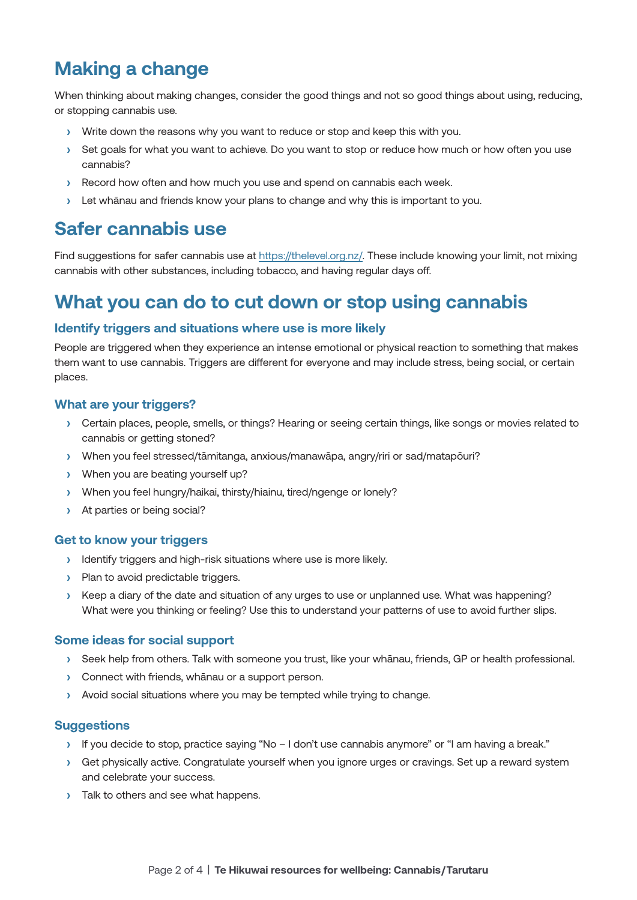# **Making a change**

When thinking about making changes, consider the good things and not so good things about using, reducing, or stopping cannabis use.

- **›** Write down the reasons why you want to reduce or stop and keep this with you.
- **›** Set goals for what you want to achieve. Do you want to stop or reduce how much or how often you use cannabis?
- **›** Record how often and how much you use and spend on cannabis each week.
- **›** Let whānau and friends know your plans to change and why this is important to you.

### **Safer cannabis use**

Find suggestions for safer cannabis use at https://thelevel.org.nz/. These include knowing your limit, not mixing cannabis with other substances, including tobacco, and having regular days off.

### **What you can do to cut down or stop using cannabis**

#### **Identify triggers and situations where use is more likely**

People are triggered when they experience an intense emotional or physical reaction to something that makes them want to use cannabis. Triggers are different for everyone and may include stress, being social, or certain places.

#### **What are your triggers?**

- **›** Certain places, people, smells, or things? Hearing or seeing certain things, like songs or movies related to cannabis or getting stoned?
- **›** When you feel stressed/tāmitanga, anxious/manawāpa, angry/riri or sad/matapōuri?
- **›** When you are beating yourself up?
- **›** When you feel hungry/haikai, thirsty/hiainu, tired/ngenge or lonely?
- **›** At parties or being social?

#### **Get to know your triggers**

- **›** Identify triggers and high-risk situations where use is more likely.
- **›** Plan to avoid predictable triggers.
- **›** Keep a diary of the date and situation of any urges to use or unplanned use. What was happening? What were you thinking or feeling? Use this to understand your patterns of use to avoid further slips.

#### **Some ideas for social support**

- **›** Seek help from others. Talk with someone you trust, like your whānau, friends, GP or health professional.
- **›** Connect with friends, whānau or a support person.
- **›** Avoid social situations where you may be tempted while trying to change.

#### **Suggestions**

- **›** If you decide to stop, practice saying "No I don't use cannabis anymore" or "I am having a break."
- **›** Get physically active. Congratulate yourself when you ignore urges or cravings. Set up a reward system and celebrate your success.
- **›** Talk to others and see what happens.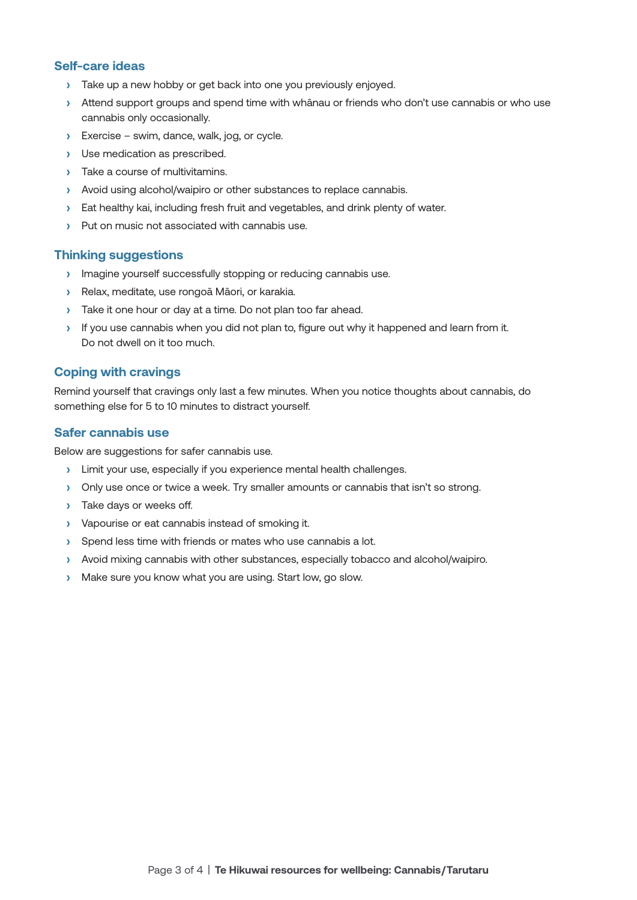#### **Self-care ideas**

- **›** Take up a new hobby or get back into one you previously enjoyed.
- **›** Attend support groups and spend time with whānau or friends who don't use cannabis or who use cannabis only occasionally.
- **›** Exercise swim, dance, walk, jog, or cycle.
- **›** Use medication as prescribed.
- **›** Take a course of multivitamins.
- **›** Avoid using alcohol/waipiro or other substances to replace cannabis.
- **›** Eat healthy kai, including fresh fruit and vegetables, and drink plenty of water.
- **›** Put on music not associated with cannabis use.

#### **Thinking suggestions**

- **›** Imagine yourself successfully stopping or reducing cannabis use.
- **›** Relax, meditate, use rongoā Māori, or karakia.
- **›** Take it one hour or day at a time. Do not plan too far ahead.
- **›** If you use cannabis when you did not plan to, figure out why it happened and learn from it. Do not dwell on it too much.

#### **Coping with cravings**

Remind yourself that cravings only last a few minutes. When you notice thoughts about cannabis, do something else for 5 to 10 minutes to distract yourself.

#### **Safer cannabis use**

Below are suggestions for safer cannabis use.

- **›** Limit your use, especially if you experience mental health challenges.
- **›** Only use once or twice a week. Try smaller amounts or cannabis that isn't so strong.
- **›** Take days or weeks off.
- **›** Vapourise or eat cannabis instead of smoking it.
- **›** Spend less time with friends or mates who use cannabis a lot.
- **›** Avoid mixing cannabis with other substances, especially tobacco and alcohol/waipiro.
- **›** Make sure you know what you are using. Start low, go slow.